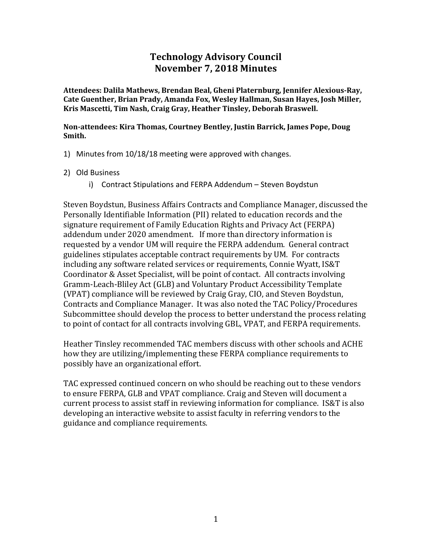## **Technology Advisory Council November 7, 2018 Minutes**

**Attendees: Dalila Mathews, Brendan Beal, Gheni Platernburg, Jennifer Alexious-Ray, Cate Guenther, Brian Prady, Amanda Fox, Wesley Hallman, Susan Hayes, Josh Miller, Kris Mascetti, Tim Nash, Craig Gray, Heather Tinsley, Deborah Braswell.**

**Non-attendees: Kira Thomas, Courtney Bentley, Justin Barrick, James Pope, Doug Smith.**

- 1) Minutes from 10/18/18 meeting were approved with changes.
- 2) Old Business
	- i) Contract Stipulations and FERPA Addendum Steven Boydstun

Steven Boydstun, Business Affairs Contracts and Compliance Manager, discussed the Personally Identifiable Information (PII) related to education records and the signature requirement of Family Education Rights and Privacy Act (FERPA) addendum under 2020 amendment. If more than directory information is requested by a vendor UM will require the FERPA addendum. General contract guidelines stipulates acceptable contract requirements by UM. For contracts including any software related services or requirements, Connie Wyatt, IS&T Coordinator & Asset Specialist, will be point of contact. All contracts involving Gramm-Leach-Bliley Act (GLB) and Voluntary Product Accessibility Template (VPAT) compliance will be reviewed by Craig Gray, CIO, and Steven Boydstun, Contracts and Compliance Manager. It was also noted the TAC Policy/Procedures Subcommittee should develop the process to better understand the process relating to point of contact for all contracts involving GBL, VPAT, and FERPA requirements.

Heather Tinsley recommended TAC members discuss with other schools and ACHE how they are utilizing/implementing these FERPA compliance requirements to possibly have an organizational effort.

TAC expressed continued concern on who should be reaching out to these vendors to ensure FERPA, GLB and VPAT compliance. Craig and Steven will document a current process to assist staff in reviewing information for compliance. IS&T is also developing an interactive website to assist faculty in referring vendors to the guidance and compliance requirements.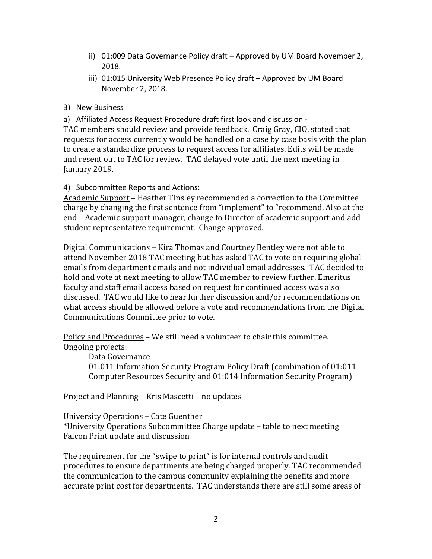- ii) 01:009 Data Governance Policy draft Approved by UM Board November 2, 2018.
- iii) 01:015 University Web Presence Policy draft Approved by UM Board November 2, 2018.
- 3) New Business
- a) Affiliated Access Request Procedure draft first look and discussion -

TAC members should review and provide feedback. Craig Gray, CIO, stated that requests for access currently would be handled on a case by case basis with the plan to create a standardize process to request access for affiliates. Edits will be made and resent out to TAC for review. TAC delayed vote until the next meeting in January 2019.

## 4) Subcommittee Reports and Actions:

Academic Support - Heather Tinsley recommended a correction to the Committee charge by changing the first sentence from "implement" to "recommend. Also at the end – Academic support manager, change to Director of academic support and add student representative requirement. Change approved.

Digital Communications – Kira Thomas and Courtney Bentley were not able to attend November 2018 TAC meeting but has asked TAC to vote on requiring global emails from department emails and not individual email addresses. TAC decided to hold and vote at next meeting to allow TAC member to review further. Emeritus faculty and staff email access based on request for continued access was also discussed. TAC would like to hear further discussion and/or recommendations on what access should be allowed before a vote and recommendations from the Digital Communications Committee prior to vote.

Policy and Procedures – We still need a volunteer to chair this committee. Ongoing projects:

- Data Governance
- 01:011 Information Security Program Policy Draft (combination of 01:011 Computer Resources Security and 01:014 Information Security Program)

Project and Planning – Kris Mascetti – no updates

## University Operations – Cate Guenther

\*University Operations Subcommittee Charge update – table to next meeting Falcon Print update and discussion

The requirement for the "swipe to print" is for internal controls and audit procedures to ensure departments are being charged properly. TAC recommended the communication to the campus community explaining the benefits and more accurate print cost for departments. TAC understands there are still some areas of